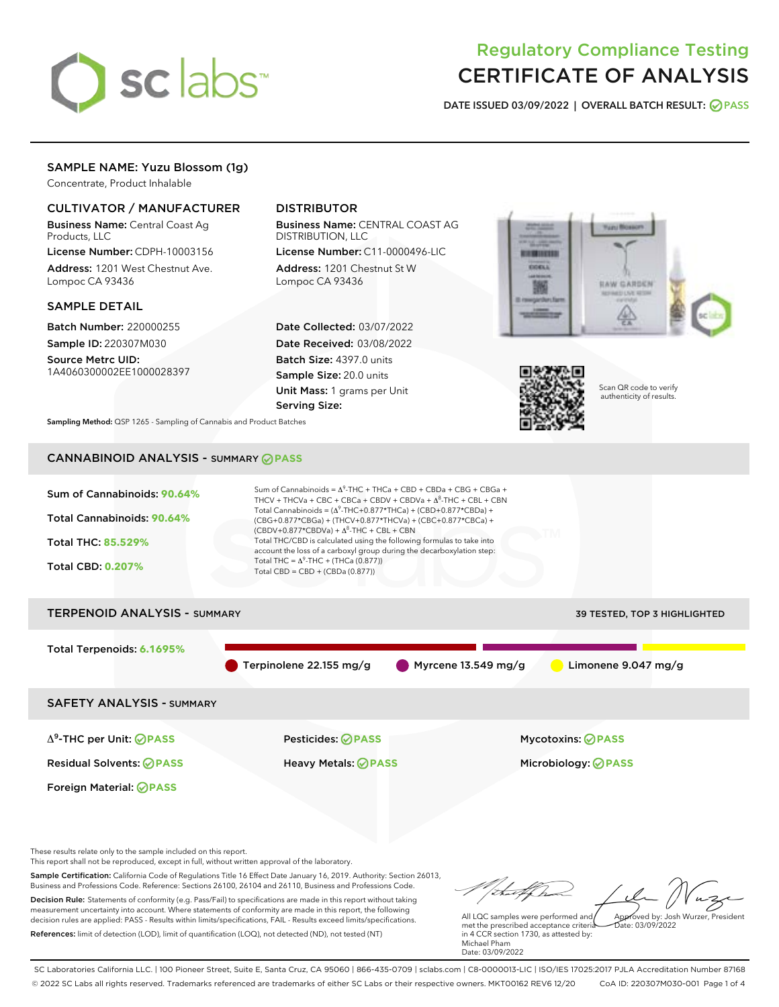

# Regulatory Compliance Testing CERTIFICATE OF ANALYSIS

DATE ISSUED 03/09/2022 | OVERALL BATCH RESULT: @ PASS

#### SAMPLE NAME: Yuzu Blossom (1g)

Concentrate, Product Inhalable

#### CULTIVATOR / MANUFACTURER

Business Name: Central Coast Ag Products, LLC

License Number: CDPH-10003156 Address: 1201 West Chestnut Ave. Lompoc CA 93436

#### SAMPLE DETAIL

Batch Number: 220000255 Sample ID: 220307M030

Source Metrc UID: 1A4060300002EE1000028397

#### DISTRIBUTOR

Business Name: CENTRAL COAST AG DISTRIBUTION, LLC

License Number: C11-0000496-LIC Address: 1201 Chestnut St W Lompoc CA 93436

Date Collected: 03/07/2022 Date Received: 03/08/2022 Batch Size: 4397.0 units Sample Size: 20.0 units Unit Mass: 1 grams per Unit Serving Size:





Scan QR code to verify authenticity of results.

Sampling Method: QSP 1265 - Sampling of Cannabis and Product Batches

# CANNABINOID ANALYSIS - SUMMARY **PASS**



Decision Rule: Statements of conformity (e.g. Pass/Fail) to specifications are made in this report without taking measurement uncertainty into account. Where statements of conformity are made in this report, the following decision rules are applied: PASS - Results within limits/specifications, FAIL - Results exceed limits/specifications. References: limit of detection (LOD), limit of quantification (LOQ), not detected (ND), not tested (NT)

All LQC samples were performed and Approved by: Josh Wurzer, President  $\frac{1}{2}$ ate: 03/09/2022

met the prescribed acceptance criteria in 4 CCR section 1730, as attested by: Michael Pham Date: 03/09/2022

SC Laboratories California LLC. | 100 Pioneer Street, Suite E, Santa Cruz, CA 95060 | 866-435-0709 | sclabs.com | C8-0000013-LIC | ISO/IES 17025:2017 PJLA Accreditation Number 87168 © 2022 SC Labs all rights reserved. Trademarks referenced are trademarks of either SC Labs or their respective owners. MKT00162 REV6 12/20 CoA ID: 220307M030-001 Page 1 of 4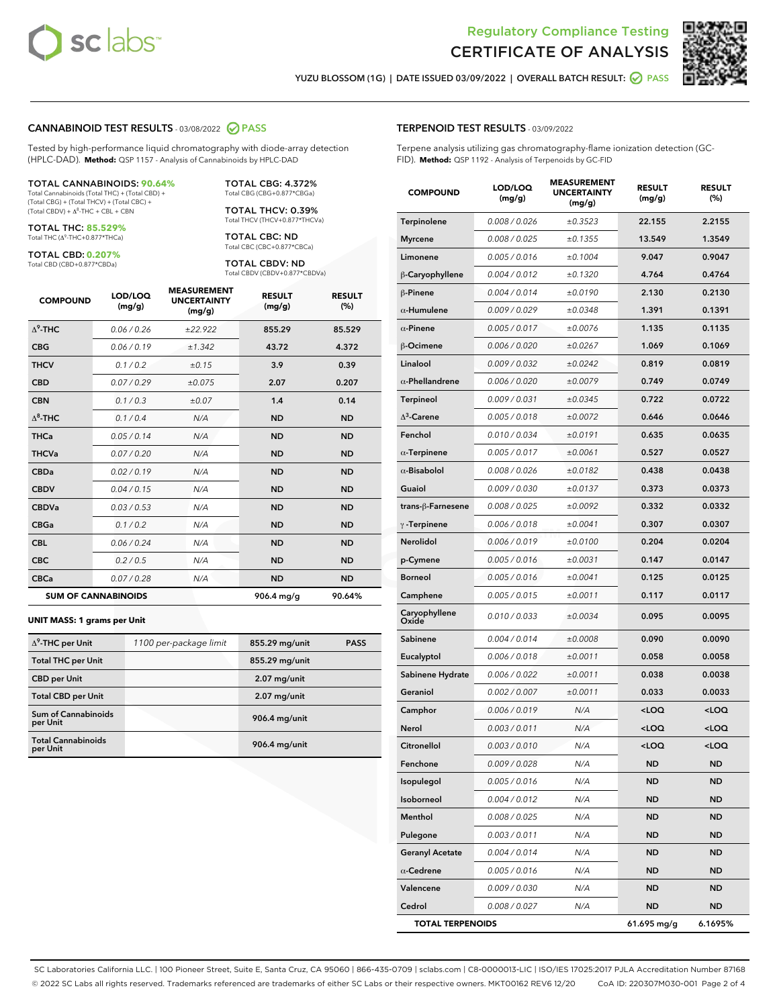



YUZU BLOSSOM (1G) | DATE ISSUED 03/09/2022 | OVERALL BATCH RESULT: ○ PASS

#### CANNABINOID TEST RESULTS - 03/08/2022 2 PASS

Tested by high-performance liquid chromatography with diode-array detection (HPLC-DAD). **Method:** QSP 1157 - Analysis of Cannabinoids by HPLC-DAD

#### TOTAL CANNABINOIDS: **90.64%** Total Cannabinoids (Total THC) + (Total CBD) +

(Total CBG) + (Total THCV) + (Total CBC) +  $(Total CBDV) +  $\Delta^8$ -THC + CBL + CBN$ 

TOTAL THC: **85.529%** Total THC (Δ<sup>9</sup> -THC+0.877\*THCa)

TOTAL CBD: **0.207%** Total CBD (CBD+0.877\*CBDa)

TOTAL CBG: 4.372% Total CBG (CBG+0.877\*CBGa)

TOTAL THCV: 0.39% Total THCV (THCV+0.877\*THCVa)

TOTAL CBC: ND Total CBC (CBC+0.877\*CBCa)

TOTAL CBDV: ND Total CBDV (CBDV+0.877\*CBDVa)

| <b>COMPOUND</b>  | LOD/LOQ<br>(mg/g)          | <b>MEASUREMENT</b><br><b>UNCERTAINTY</b><br>(mg/g) | <b>RESULT</b><br>(mg/g) | <b>RESULT</b><br>(%) |
|------------------|----------------------------|----------------------------------------------------|-------------------------|----------------------|
| $\Lambda^9$ -THC | 0.06/0.26                  | ±22.922                                            | 855.29                  | 85.529               |
| <b>CBG</b>       | 0.06/0.19                  | ±1.342                                             | 43.72                   | 4.372                |
| <b>THCV</b>      | 0.1/0.2                    | ±0.15                                              | 3.9                     | 0.39                 |
| <b>CBD</b>       | 0.07/0.29                  | ±0.075                                             | 2.07                    | 0.207                |
| <b>CBN</b>       | 0.1 / 0.3                  | ±0.07                                              | 1.4                     | 0.14                 |
| $\Delta^8$ -THC  | 0.1 / 0.4                  | N/A                                                | <b>ND</b>               | <b>ND</b>            |
| <b>THCa</b>      | 0.05/0.14                  | N/A                                                | <b>ND</b>               | <b>ND</b>            |
| <b>THCVa</b>     | 0.07 / 0.20                | N/A                                                | <b>ND</b>               | <b>ND</b>            |
| <b>CBDa</b>      | 0.02/0.19                  | N/A                                                | <b>ND</b>               | <b>ND</b>            |
| <b>CBDV</b>      | 0.04 / 0.15                | N/A                                                | <b>ND</b>               | <b>ND</b>            |
| <b>CBDVa</b>     | 0.03 / 0.53                | N/A                                                | <b>ND</b>               | <b>ND</b>            |
| <b>CBGa</b>      | 0.1 / 0.2                  | N/A                                                | <b>ND</b>               | <b>ND</b>            |
| <b>CBL</b>       | 0.06 / 0.24                | N/A                                                | <b>ND</b>               | <b>ND</b>            |
| <b>CBC</b>       | 0.2 / 0.5                  | N/A                                                | <b>ND</b>               | <b>ND</b>            |
| <b>CBCa</b>      | 0.07 / 0.28                | N/A                                                | <b>ND</b>               | <b>ND</b>            |
|                  | <b>SUM OF CANNABINOIDS</b> |                                                    | 906.4 mg/g              | 90.64%               |

#### **UNIT MASS: 1 grams per Unit**

| $\Delta^9$ -THC per Unit               | 1100 per-package limit | 855.29 mg/unit | <b>PASS</b> |
|----------------------------------------|------------------------|----------------|-------------|
| <b>Total THC per Unit</b>              |                        | 855.29 mg/unit |             |
| <b>CBD per Unit</b>                    |                        | $2.07$ mg/unit |             |
| <b>Total CBD per Unit</b>              |                        | $2.07$ mg/unit |             |
| <b>Sum of Cannabinoids</b><br>per Unit |                        | 906.4 mg/unit  |             |
| <b>Total Cannabinoids</b><br>per Unit  |                        | 906.4 mg/unit  |             |

# TERPENOID TEST RESULTS - 03/09/2022

Terpene analysis utilizing gas chromatography-flame ionization detection (GC-FID). **Method:** QSP 1192 - Analysis of Terpenoids by GC-FID

| <b>COMPOUND</b>         | LOD/LOQ<br>(mg/g) | <b>MEASUREMENT</b><br><b>UNCERTAINTY</b><br>(mg/g) | <b>RESULT</b><br>(mg/g)                         | <b>RESULT</b><br>(%) |
|-------------------------|-------------------|----------------------------------------------------|-------------------------------------------------|----------------------|
| Terpinolene             | 0.008 / 0.026     | ±0.3523                                            | 22.155                                          | 2.2155               |
| <b>Myrcene</b>          | 0.008 / 0.025     | ±0.1355                                            | 13.549                                          | 1.3549               |
| Limonene                | 0.005 / 0.016     | ±0.1004                                            | 9.047                                           | 0.9047               |
| $\beta$ -Caryophyllene  | 0.004 / 0.012     | ±0.1320                                            | 4.764                                           | 0.4764               |
| $\beta$ -Pinene         | 0.004 / 0.014     | ±0.0190                                            | 2.130                                           | 0.2130               |
| $\alpha$ -Humulene      | 0.009/0.029       | ±0.0348                                            | 1.391                                           | 0.1391               |
| $\alpha$ -Pinene        | 0.005 / 0.017     | ±0.0076                                            | 1.135                                           | 0.1135               |
| β-Ocimene               | 0.006 / 0.020     | ±0.0267                                            | 1.069                                           | 0.1069               |
| Linalool                | 0.009 / 0.032     | ±0.0242                                            | 0.819                                           | 0.0819               |
| $\alpha$ -Phellandrene  | 0.006 / 0.020     | ±0.0079                                            | 0.749                                           | 0.0749               |
| <b>Terpineol</b>        | 0.009 / 0.031     | ±0.0345                                            | 0.722                                           | 0.0722               |
| $\Delta^3$ -Carene      | 0.005 / 0.018     | ±0.0072                                            | 0.646                                           | 0.0646               |
| Fenchol                 | 0.010 / 0.034     | ±0.0191                                            | 0.635                                           | 0.0635               |
| $\alpha$ -Terpinene     | 0.005 / 0.017     | ±0.0061                                            | 0.527                                           | 0.0527               |
| $\alpha$ -Bisabolol     | 0.008 / 0.026     | ±0.0182                                            | 0.438                                           | 0.0438               |
| Guaiol                  | 0.009 / 0.030     | ±0.0137                                            | 0.373                                           | 0.0373               |
| trans-ß-Farnesene       | 0.008 / 0.025     | ±0.0092                                            | 0.332                                           | 0.0332               |
| $\gamma$ -Terpinene     | 0.006 / 0.018     | ±0.0041                                            | 0.307                                           | 0.0307               |
| Nerolidol               | 0.006 / 0.019     | ±0.0100                                            | 0.204                                           | 0.0204               |
| p-Cymene                | 0.005 / 0.016     | ±0.0031                                            | 0.147                                           | 0.0147               |
| <b>Borneol</b>          | 0.005 / 0.016     | ±0.0041                                            | 0.125                                           | 0.0125               |
| Camphene                | 0.005 / 0.015     | ±0.0011                                            | 0.117                                           | 0.0117               |
| Caryophyllene<br>Oxide  | 0.010 / 0.033     | ±0.0034                                            | 0.095                                           | 0.0095               |
| Sabinene                | 0.004 / 0.014     | ±0.0008                                            | 0.090                                           | 0.0090               |
| Eucalyptol              | 0.006 / 0.018     | ±0.0011                                            | 0.058                                           | 0.0058               |
| Sabinene Hydrate        | 0.006 / 0.022     | ±0.0011                                            | 0.038                                           | 0.0038               |
| Geraniol                | 0.002 / 0.007     | ±0.0011                                            | 0.033                                           | 0.0033               |
| Camphor                 | 0.006 / 0.019     | N/A                                                | <loq< th=""><th><loq< th=""></loq<></th></loq<> | <loq< th=""></loq<>  |
| Nerol                   | 0.003 / 0.011     | N/A                                                | <loq< th=""><th><loq< th=""></loq<></th></loq<> | <loq< th=""></loq<>  |
| Citronellol             | 0.003 / 0.010     | N/A                                                | < 0                                             | <loq< th=""></loq<>  |
| Fenchone                | 0.009 / 0.028     | N/A                                                | ND                                              | ND                   |
| Isopulegol              | 0.005 / 0.016     | N/A                                                | <b>ND</b>                                       | <b>ND</b>            |
| Isoborneol              | 0.004 / 0.012     | N/A                                                | ND                                              | <b>ND</b>            |
| Menthol                 | 0.008 / 0.025     | N/A                                                | ND                                              | ND                   |
| Pulegone                | 0.003 / 0.011     | N/A                                                | ND                                              | ND                   |
| <b>Geranyl Acetate</b>  | 0.004 / 0.014     | N/A                                                | <b>ND</b>                                       | ND                   |
| $\alpha$ -Cedrene       | 0.005 / 0.016     | N/A                                                | ND                                              | ND                   |
| Valencene               | 0.009 / 0.030     | N/A                                                | ND                                              | ND                   |
| Cedrol                  | 0.008 / 0.027     | N/A                                                | ND                                              | ND                   |
| <b>TOTAL TERPENOIDS</b> |                   |                                                    | 61.695 mg/g                                     | 6.1695%              |

SC Laboratories California LLC. | 100 Pioneer Street, Suite E, Santa Cruz, CA 95060 | 866-435-0709 | sclabs.com | C8-0000013-LIC | ISO/IES 17025:2017 PJLA Accreditation Number 87168 © 2022 SC Labs all rights reserved. Trademarks referenced are trademarks of either SC Labs or their respective owners. MKT00162 REV6 12/20 CoA ID: 220307M030-001 Page 2 of 4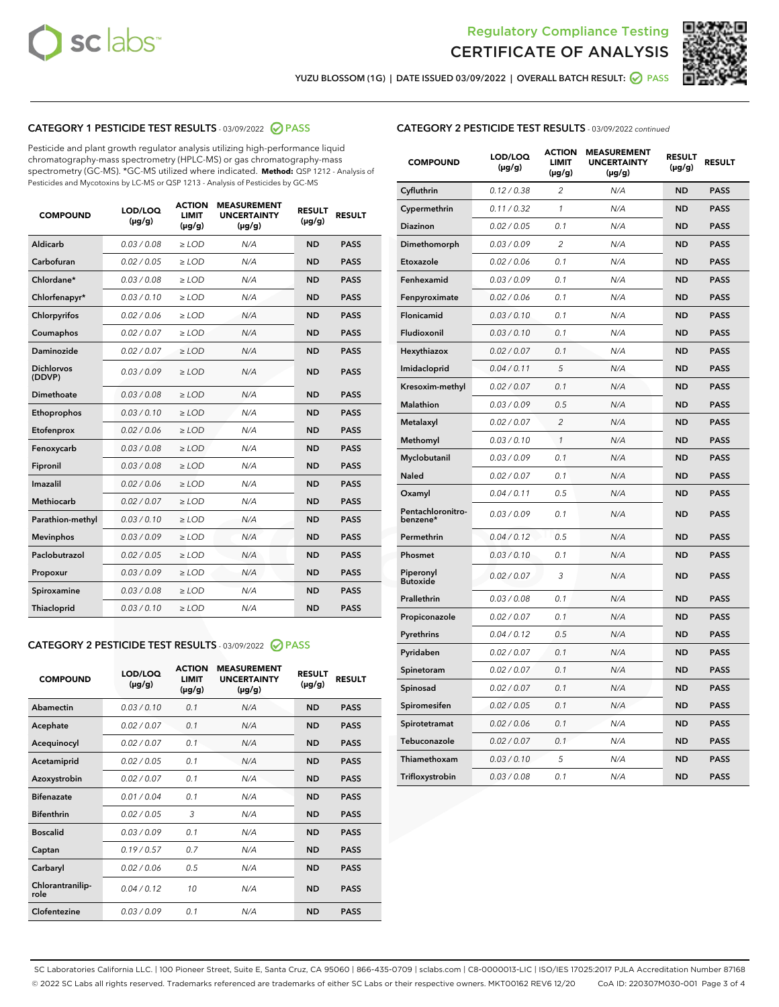



YUZU BLOSSOM (1G) | DATE ISSUED 03/09/2022 | OVERALL BATCH RESULT: ● PASS

#### CATEGORY 1 PESTICIDE TEST RESULTS - 03/09/2022 2 PASS

Pesticide and plant growth regulator analysis utilizing high-performance liquid chromatography-mass spectrometry (HPLC-MS) or gas chromatography-mass spectrometry (GC-MS). \*GC-MS utilized where indicated. **Method:** QSP 1212 - Analysis of Pesticides and Mycotoxins by LC-MS or QSP 1213 - Analysis of Pesticides by GC-MS

| 0.03 / 0.08<br>Aldicarb<br>$\ge$ LOD<br>N/A<br><b>ND</b><br>Carbofuran<br>0.02/0.05<br>$>$ LOD<br>N/A<br><b>ND</b> | <b>PASS</b><br><b>PASS</b> |
|--------------------------------------------------------------------------------------------------------------------|----------------------------|
|                                                                                                                    |                            |
|                                                                                                                    |                            |
| Chlordane*<br>0.03 / 0.08<br>N/A<br><b>ND</b><br>$\ge$ LOD                                                         | <b>PASS</b>                |
| 0.03/0.10<br><b>ND</b><br>Chlorfenapyr*<br>$\ge$ LOD<br>N/A                                                        | <b>PASS</b>                |
| 0.02/0.06<br>N/A<br><b>ND</b><br>Chlorpyrifos<br>$\ge$ LOD                                                         | <b>PASS</b>                |
| Coumaphos<br>0.02 / 0.07<br>$\geq$ LOD<br>N/A<br><b>ND</b>                                                         | <b>PASS</b>                |
| Daminozide<br>0.02 / 0.07<br>$>$ LOD<br>N/A<br><b>ND</b>                                                           | <b>PASS</b>                |
| <b>Dichlorvos</b><br>0.03 / 0.09<br>N/A<br>$\ge$ LOD<br><b>ND</b><br>(DDVP)                                        | <b>PASS</b>                |
| Dimethoate<br>0.03/0.08<br>N/A<br><b>ND</b><br>$>$ LOD                                                             | <b>PASS</b>                |
| 0.03/0.10<br><b>ND</b><br>Ethoprophos<br>$>$ LOD<br>N/A                                                            | <b>PASS</b>                |
| 0.02 / 0.06<br>N/A<br><b>ND</b><br>Etofenprox<br>$\ge$ LOD                                                         | <b>PASS</b>                |
| 0.03 / 0.08<br>N/A<br><b>ND</b><br>Fenoxycarb<br>$\ge$ LOD                                                         | <b>PASS</b>                |
| 0.03 / 0.08<br>$\ge$ LOD<br>N/A<br><b>ND</b><br>Fipronil                                                           | <b>PASS</b>                |
| Imazalil<br>0.02 / 0.06<br>$>$ LOD<br>N/A<br><b>ND</b>                                                             | <b>PASS</b>                |
| <b>Methiocarb</b><br>0.02 / 0.07<br>$\ge$ LOD<br>N/A<br><b>ND</b>                                                  | <b>PASS</b>                |
| N/A<br><b>ND</b><br>Parathion-methyl<br>0.03/0.10<br>$\ge$ LOD                                                     | <b>PASS</b>                |
| 0.03/0.09<br>$\ge$ LOD<br>N/A<br><b>ND</b><br><b>Mevinphos</b>                                                     | <b>PASS</b>                |
| Paclobutrazol<br>0.02 / 0.05<br>$\ge$ LOD<br>N/A<br><b>ND</b>                                                      | <b>PASS</b>                |
| 0.03/0.09<br>$>$ LOD<br>N/A<br><b>ND</b><br>Propoxur                                                               | <b>PASS</b>                |
| 0.03 / 0.08<br>N/A<br><b>ND</b><br>Spiroxamine<br>$\ge$ LOD                                                        | <b>PASS</b>                |
| <b>ND</b><br>Thiacloprid<br>0.03/0.10<br>$>$ LOD<br>N/A                                                            | <b>PASS</b>                |

#### CATEGORY 2 PESTICIDE TEST RESULTS - 03/09/2022 @ PASS

| <b>COMPOUND</b>          | LOD/LOQ<br>$(\mu g/g)$ | <b>ACTION</b><br><b>LIMIT</b><br>$(\mu g/g)$ | <b>MEASUREMENT</b><br><b>UNCERTAINTY</b><br>$(\mu g/g)$ | <b>RESULT</b><br>$(\mu g/g)$ | <b>RESULT</b> |
|--------------------------|------------------------|----------------------------------------------|---------------------------------------------------------|------------------------------|---------------|
| Abamectin                | 0.03/0.10              | 0.1                                          | N/A                                                     | <b>ND</b>                    | <b>PASS</b>   |
| Acephate                 | 0.02/0.07              | 0.1                                          | N/A                                                     | <b>ND</b>                    | <b>PASS</b>   |
| Acequinocyl              | 0.02/0.07              | 0.1                                          | N/A                                                     | <b>ND</b>                    | <b>PASS</b>   |
| Acetamiprid              | 0.02/0.05              | 0.1                                          | N/A                                                     | <b>ND</b>                    | <b>PASS</b>   |
| Azoxystrobin             | 0.02 / 0.07            | 0.1                                          | N/A                                                     | <b>ND</b>                    | <b>PASS</b>   |
| <b>Bifenazate</b>        | 0.01/0.04              | 0.1                                          | N/A                                                     | <b>ND</b>                    | <b>PASS</b>   |
| <b>Bifenthrin</b>        | 0.02/0.05              | 3                                            | N/A                                                     | <b>ND</b>                    | <b>PASS</b>   |
| <b>Boscalid</b>          | 0.03/0.09              | 0.1                                          | N/A                                                     | <b>ND</b>                    | <b>PASS</b>   |
| Captan                   | 0.19/0.57              | 0.7                                          | N/A                                                     | <b>ND</b>                    | <b>PASS</b>   |
| Carbaryl                 | 0.02/0.06              | 0.5                                          | N/A                                                     | <b>ND</b>                    | <b>PASS</b>   |
| Chlorantranilip-<br>role | 0.04/0.12              | 10                                           | N/A                                                     | <b>ND</b>                    | <b>PASS</b>   |
| Clofentezine             | 0.03/0.09              | 0.1                                          | N/A                                                     | <b>ND</b>                    | <b>PASS</b>   |

#### CATEGORY 2 PESTICIDE TEST RESULTS - 03/09/2022 continued

| <b>COMPOUND</b>               | LOD/LOQ<br>(µg/g) | <b>ACTION</b><br><b>LIMIT</b><br>(µg/g) | <b>MEASUREMENT</b><br><b>UNCERTAINTY</b><br>(µg/g) | <b>RESULT</b><br>(µg/g) | <b>RESULT</b> |
|-------------------------------|-------------------|-----------------------------------------|----------------------------------------------------|-------------------------|---------------|
| Cyfluthrin                    | 0.12 / 0.38       | $\overline{c}$                          | N/A                                                | <b>ND</b>               | <b>PASS</b>   |
| Cypermethrin                  | 0.11 / 0.32       | $\mathcal{I}$                           | N/A                                                | <b>ND</b>               | PASS          |
| <b>Diazinon</b>               | 0.02 / 0.05       | 0.1                                     | N/A                                                | <b>ND</b>               | <b>PASS</b>   |
| Dimethomorph                  | 0.03 / 0.09       | 2                                       | N/A                                                | <b>ND</b>               | <b>PASS</b>   |
| Etoxazole                     | 0.02 / 0.06       | 0.1                                     | N/A                                                | ND                      | <b>PASS</b>   |
| Fenhexamid                    | 0.03 / 0.09       | 0.1                                     | N/A                                                | <b>ND</b>               | <b>PASS</b>   |
| Fenpyroximate                 | 0.02 / 0.06       | 0.1                                     | N/A                                                | <b>ND</b>               | <b>PASS</b>   |
| Flonicamid                    | 0.03 / 0.10       | 0.1                                     | N/A                                                | <b>ND</b>               | <b>PASS</b>   |
| Fludioxonil                   | 0.03 / 0.10       | 0.1                                     | N/A                                                | ND                      | <b>PASS</b>   |
| Hexythiazox                   | 0.02 / 0.07       | 0.1                                     | N/A                                                | <b>ND</b>               | <b>PASS</b>   |
| Imidacloprid                  | 0.04 / 0.11       | 5                                       | N/A                                                | <b>ND</b>               | <b>PASS</b>   |
| Kresoxim-methyl               | 0.02 / 0.07       | 0.1                                     | N/A                                                | <b>ND</b>               | <b>PASS</b>   |
| <b>Malathion</b>              | 0.03 / 0.09       | 0.5                                     | N/A                                                | <b>ND</b>               | <b>PASS</b>   |
| Metalaxyl                     | 0.02 / 0.07       | $\overline{c}$                          | N/A                                                | <b>ND</b>               | <b>PASS</b>   |
| Methomyl                      | 0.03 / 0.10       | $\mathcal{I}$                           | N/A                                                | <b>ND</b>               | <b>PASS</b>   |
| Myclobutanil                  | 0.03/0.09         | 0.1                                     | N/A                                                | <b>ND</b>               | <b>PASS</b>   |
| Naled                         | 0.02 / 0.07       | 0.1                                     | N/A                                                | <b>ND</b>               | <b>PASS</b>   |
| Oxamyl                        | 0.04 / 0.11       | 0.5                                     | N/A                                                | <b>ND</b>               | <b>PASS</b>   |
| Pentachloronitro-<br>benzene* | 0.03 / 0.09       | 0.1                                     | N/A                                                | <b>ND</b>               | <b>PASS</b>   |
| Permethrin                    | 0.04 / 0.12       | 0.5                                     | N/A                                                | <b>ND</b>               | <b>PASS</b>   |
| Phosmet                       | 0.03 / 0.10       | 0.1                                     | N/A                                                | <b>ND</b>               | <b>PASS</b>   |
| Piperonyl<br><b>Butoxide</b>  | 0.02 / 0.07       | 3                                       | N/A                                                | <b>ND</b>               | <b>PASS</b>   |
| Prallethrin                   | 0.03 / 0.08       | 0.1                                     | N/A                                                | <b>ND</b>               | <b>PASS</b>   |
| Propiconazole                 | 0.02 / 0.07       | 0.1                                     | N/A                                                | <b>ND</b>               | <b>PASS</b>   |
| Pyrethrins                    | 0.04 / 0.12       | 0.5                                     | N/A                                                | <b>ND</b>               | <b>PASS</b>   |
| Pyridaben                     | 0.02 / 0.07       | 0.1                                     | N/A                                                | <b>ND</b>               | <b>PASS</b>   |
| Spinetoram                    | 0.02 / 0.07       | 0.1                                     | N/A                                                | <b>ND</b>               | <b>PASS</b>   |
| Spinosad                      | 0.02 / 0.07       | 0.1                                     | N/A                                                | <b>ND</b>               | <b>PASS</b>   |
| Spiromesifen                  | 0.02 / 0.05       | 0.1                                     | N/A                                                | <b>ND</b>               | <b>PASS</b>   |
| Spirotetramat                 | 0.02 / 0.06       | 0.1                                     | N/A                                                | <b>ND</b>               | <b>PASS</b>   |
| Tebuconazole                  | 0.02 / 0.07       | 0.1                                     | N/A                                                | <b>ND</b>               | <b>PASS</b>   |
| Thiamethoxam                  | 0.03/0.10         | 5                                       | N/A                                                | ND                      | <b>PASS</b>   |
| Trifloxystrobin               | 0.03 / 0.08       | 0.1                                     | N/A                                                | <b>ND</b>               | <b>PASS</b>   |

SC Laboratories California LLC. | 100 Pioneer Street, Suite E, Santa Cruz, CA 95060 | 866-435-0709 | sclabs.com | C8-0000013-LIC | ISO/IES 17025:2017 PJLA Accreditation Number 87168 © 2022 SC Labs all rights reserved. Trademarks referenced are trademarks of either SC Labs or their respective owners. MKT00162 REV6 12/20 CoA ID: 220307M030-001 Page 3 of 4